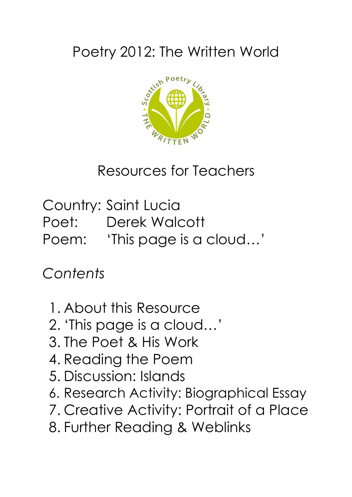# Poetry 2012: The Written World



Resources for Teachers

Country: Saint Lucia Poet: Derek Walcott Poem: 'This page is a cloud…'

*Contents*

- 1. About this Resource
- 2. 'This page is a cloud…'
- 3. The Poet & His Work
- 4. Reading the Poem
- 5. Discussion: Islands
- 6. Research Activity: Biographical Essay
- 7. Creative Activity: Portrait of a Place
- 8. Further Reading & Weblinks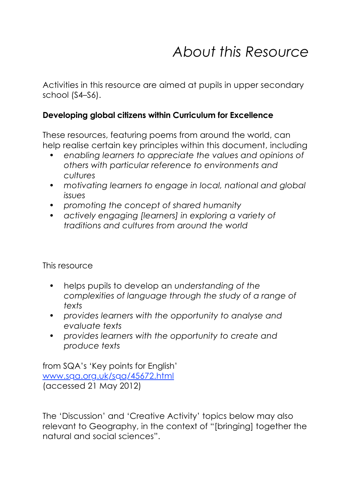## *About this Resource*

Activities in this resource are aimed at pupils in upper secondary school (S4–S6).

#### **Developing global citizens within Curriculum for Excellence**

These resources, featuring poems from around the world, can help realise certain key principles within this document, including

- *• enabling learners to appreciate the values and opinions of others with particular reference to environments and cultures*
- *• motivating learners to engage in local, national and global issues*
- *• promoting the concept of shared humanity*
- *• actively engaging [learners] in exploring a variety of traditions and cultures from around the world*

This resource

- helps pupils to develop an *understanding of the complexities of language through the study of a range of texts*
- *• provides learners with the opportunity to analyse and evaluate texts*
- *• provides learners with the opportunity to create and produce texts*

from SQA's 'Key points for English' www.sqa.org.uk/sqa/45672.html (accessed 21 May 2012)

The 'Discussion' and 'Creative Activity' topics below may also relevant to Geography, in the context of "[bringing] together the natural and social sciences".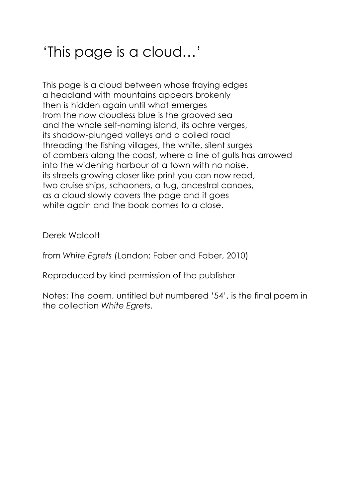# 'This page is a cloud…'

This page is a cloud between whose fraying edges a headland with mountains appears brokenly then is hidden again until what emerges from the now cloudless blue is the grooved sea and the whole self-naming island, its ochre verges, its shadow-plunged valleys and a coiled road threading the fishing villages, the white, silent surges of combers along the coast, where a line of gulls has arrowed into the widening harbour of a town with no noise, its streets growing closer like print you can now read, two cruise ships, schooners, a tug, ancestral canoes, as a cloud slowly covers the page and it goes white again and the book comes to a close.

Derek Walcott

from *White Egrets* (London: Faber and Faber, 2010)

Reproduced by kind permission of the publisher

Notes: The poem, untitled but numbered '54', is the final poem in the collection *White Egrets*.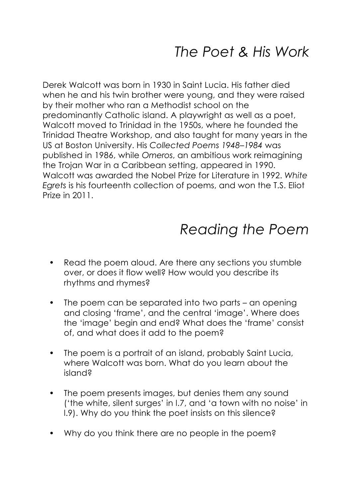Derek Walcott was born in 1930 in Saint Lucia. His father died when he and his twin brother were young, and they were raised by their mother who ran a Methodist school on the predominantly Catholic island. A playwright as well as a poet, Walcott moved to Trinidad in the 1950s, where he founded the Trinidad Theatre Workshop, and also taught for many years in the US at Boston University. His *Collected Poems 1948–1984* was published in 1986, while *Omeros*, an ambitious work reimagining the Trojan War in a Caribbean setting, appeared in 1990. Walcott was awarded the Nobel Prize for Literature in 1992. *White Egrets* is his fourteenth collection of poems, and won the T.S. Eliot Prize in 2011.

## *Reading the Poem*

- Read the poem aloud. Are there any sections you stumble over, or does it flow well? How would you describe its rhythms and rhymes?
- The poem can be separated into two parts an opening and closing 'frame', and the central 'image'. Where does the 'image' begin and end? What does the 'frame' consist of, and what does it add to the poem?
- The poem is a portrait of an island, probably Saint Lucia, where Walcott was born. What do you learn about the island?
- The poem presents images, but denies them any sound ('the white, silent surges' in l.7, and 'a town with no noise' in l.9). Why do you think the poet insists on this silence?
- Why do you think there are no people in the poem?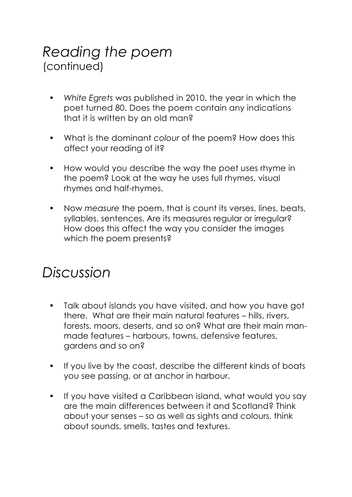### *Reading the poem* (continued)

- *• White Egrets* was published in 2010, the year in which the poet turned 80. Does the poem contain any indications that it is written by an old man?
- What is the dominant *colour* of the poem? How does this affect your reading of it?
- How would you describe the way the poet uses rhyme in the poem? Look at the way he uses full rhymes, visual rhymes and half-rhymes.
- Now *measure* the poem, that is count its verses, lines, beats, syllables, sentences. Are its measures regular or irregular? How does this affect the way you consider the images which the poem presents?

### *Discussion*

- Talk about islands you have visited, and how you have got there. What are their main natural features – hills, rivers, forests, moors, deserts, and so on? What are their main manmade features – harbours, towns, defensive features, gardens and so on?
- If you live by the coast, describe the different kinds of boats you see passing, or at anchor in harbour.
- If you have visited a Caribbean island, what would you say are the main differences between it and Scotland? Think about your senses – so as well as sights and colours, think about sounds, smells, tastes and textures.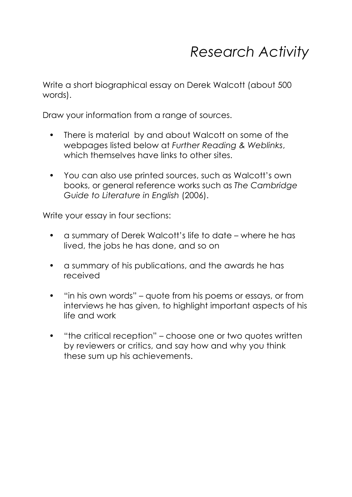### *Research Activity*

Write a short biographical essay on Derek Walcott (about 500 words).

Draw your information from a range of sources.

- There is material by and about Walcott on some of the webpages listed below at *Further Reading & Weblinks*, which themselves have links to other sites.
- You can also use printed sources, such as Walcott's own books, or general reference works such as *The Cambridge Guide to Literature in English* (2006).

Write your essay in four sections:

- a summary of Derek Walcott's life to date where he has lived, the jobs he has done, and so on
- a summary of his publications, and the awards he has received
- "in his own words" quote from his poems or essays, or from interviews he has given, to highlight important aspects of his life and work
- "the critical reception" choose one or two quotes written by reviewers or critics, and say how and why you think these sum up his achievements.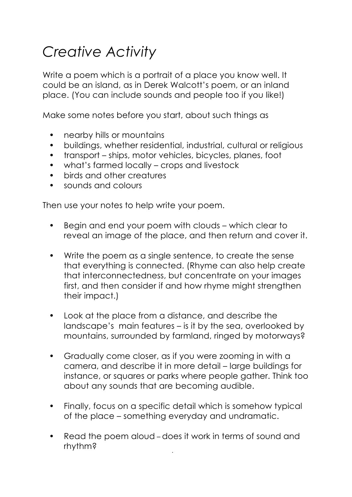# *Creative Activity*

Write a poem which is a portrait of a place you know well. It could be an island, as in Derek Walcott's poem, or an inland place. (You can include sounds and people too if you like!)

Make some notes before you start, about such things as

- nearby hills or mountains
- buildings, whether residential, industrial, cultural or religious
- transport ships, motor vehicles, bicycles, planes, foot
- what's farmed locally crops and livestock
- birds and other creatures
- sounds and colours

Then use your notes to help write your poem.

- Begin and end your poem with clouds which clear to reveal an image of the place, and then return and cover it.
- Write the poem as a single sentence, to create the sense that everything is connected. (Rhyme can also help create that interconnectedness, but concentrate on your images first, and then consider if and how rhyme might strengthen their impact.)
- Look at the place from a distance, and describe the landscape's main features – is it by the sea, overlooked by mountains, surrounded by farmland, ringed by motorways?
- Gradually come closer, as if you were zooming in with a camera, and describe it in more detail – large buildings for instance, or squares or parks where people gather. Think too about any sounds that are becoming audible.
- Finally, focus on a specific detail which is somehow typical of the place – something everyday and undramatic.
- Read the poem aloud does it work in terms of sound and rhythm?

•